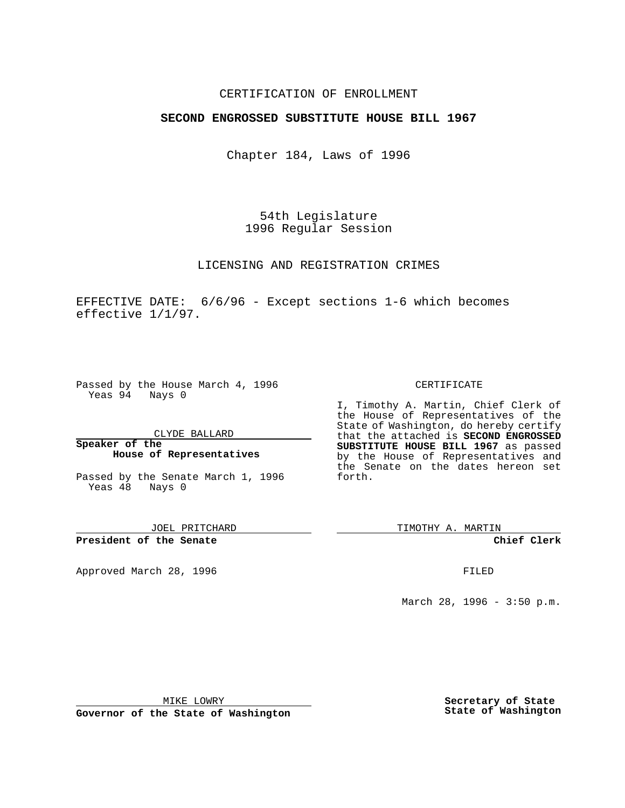## CERTIFICATION OF ENROLLMENT

## **SECOND ENGROSSED SUBSTITUTE HOUSE BILL 1967**

Chapter 184, Laws of 1996

54th Legislature 1996 Regular Session

LICENSING AND REGISTRATION CRIMES

EFFECTIVE DATE: 6/6/96 - Except sections 1-6 which becomes effective 1/1/97.

Passed by the House March 4, 1996 Yeas 94 Nays 0

CLYDE BALLARD

**Speaker of the House of Representatives**

Passed by the Senate March 1, 1996 Yeas 48 Nays 0

JOEL PRITCHARD

**President of the Senate**

Approved March 28, 1996 FILED

## CERTIFICATE

I, Timothy A. Martin, Chief Clerk of the House of Representatives of the State of Washington, do hereby certify that the attached is **SECOND ENGROSSED SUBSTITUTE HOUSE BILL 1967** as passed by the House of Representatives and the Senate on the dates hereon set forth.

TIMOTHY A. MARTIN

**Chief Clerk**

March 28, 1996 - 3:50 p.m.

MIKE LOWRY

**Governor of the State of Washington**

**Secretary of State State of Washington**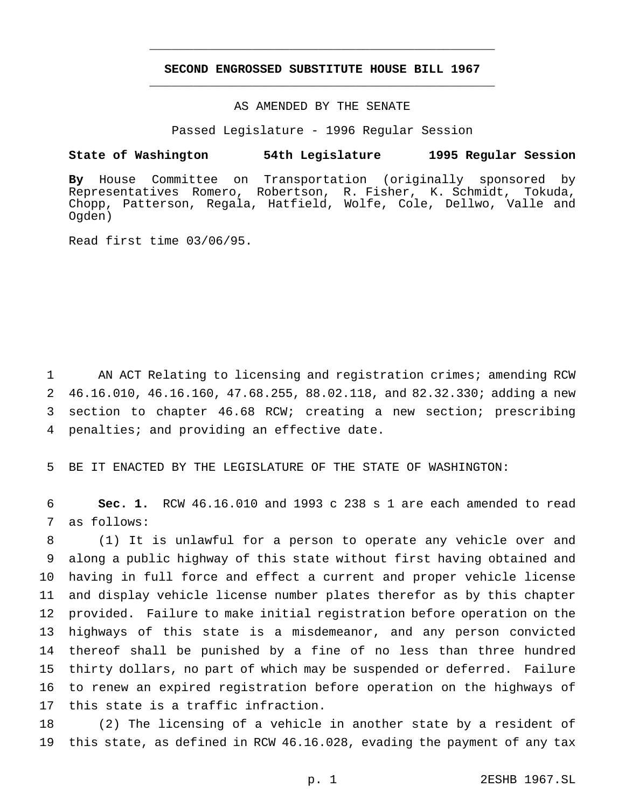# **SECOND ENGROSSED SUBSTITUTE HOUSE BILL 1967** \_\_\_\_\_\_\_\_\_\_\_\_\_\_\_\_\_\_\_\_\_\_\_\_\_\_\_\_\_\_\_\_\_\_\_\_\_\_\_\_\_\_\_\_\_\_\_

\_\_\_\_\_\_\_\_\_\_\_\_\_\_\_\_\_\_\_\_\_\_\_\_\_\_\_\_\_\_\_\_\_\_\_\_\_\_\_\_\_\_\_\_\_\_\_

## AS AMENDED BY THE SENATE

Passed Legislature - 1996 Regular Session

#### **State of Washington 54th Legislature 1995 Regular Session**

**By** House Committee on Transportation (originally sponsored by Representatives Romero, Robertson, R. Fisher, K. Schmidt, Tokuda, Chopp, Patterson, Regala, Hatfield, Wolfe, Cole, Dellwo, Valle and Ogden)

Read first time 03/06/95.

1 AN ACT Relating to licensing and registration crimes; amending RCW 46.16.010, 46.16.160, 47.68.255, 88.02.118, and 82.32.330; adding a new section to chapter 46.68 RCW; creating a new section; prescribing penalties; and providing an effective date.

5 BE IT ENACTED BY THE LEGISLATURE OF THE STATE OF WASHINGTON:

6 **Sec. 1.** RCW 46.16.010 and 1993 c 238 s 1 are each amended to read 7 as follows:

 (1) It is unlawful for a person to operate any vehicle over and along a public highway of this state without first having obtained and having in full force and effect a current and proper vehicle license and display vehicle license number plates therefor as by this chapter provided. Failure to make initial registration before operation on the highways of this state is a misdemeanor, and any person convicted thereof shall be punished by a fine of no less than three hundred thirty dollars, no part of which may be suspended or deferred. Failure to renew an expired registration before operation on the highways of this state is a traffic infraction.

18 (2) The licensing of a vehicle in another state by a resident of 19 this state, as defined in RCW 46.16.028, evading the payment of any tax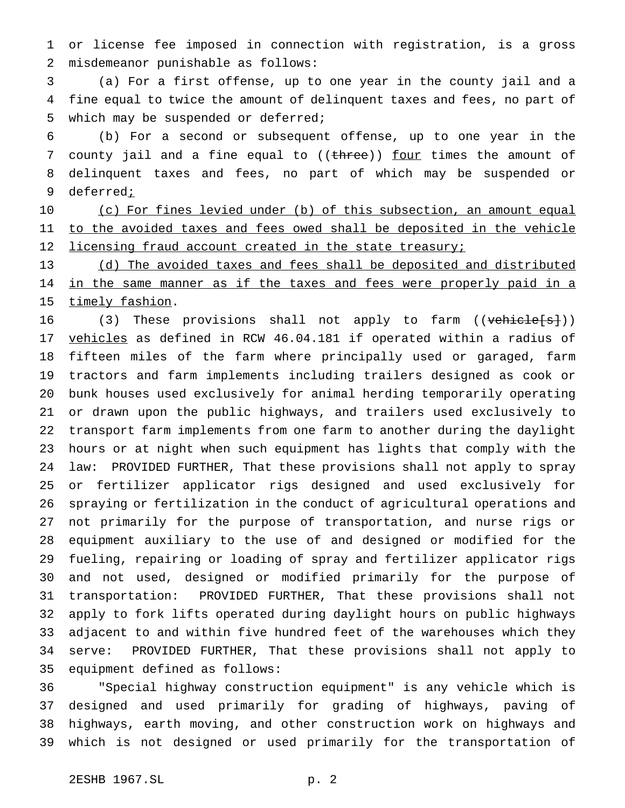or license fee imposed in connection with registration, is a gross misdemeanor punishable as follows:

 (a) For a first offense, up to one year in the county jail and a fine equal to twice the amount of delinquent taxes and fees, no part of which may be suspended or deferred;

 (b) For a second or subsequent offense, up to one year in the 7 county jail and a fine equal to ((three)) four times the amount of delinquent taxes and fees, no part of which may be suspended or deferred;

10 (c) For fines levied under (b) of this subsection, an amount equal 11 to the avoided taxes and fees owed shall be deposited in the vehicle 12 licensing fraud account created in the state treasury;

 (d) The avoided taxes and fees shall be deposited and distributed 14 in the same manner as if the taxes and fees were properly paid in a 15 timely fashion.

16 (3) These provisions shall not apply to farm ((vehicle[s])) vehicles as defined in RCW 46.04.181 if operated within a radius of fifteen miles of the farm where principally used or garaged, farm tractors and farm implements including trailers designed as cook or bunk houses used exclusively for animal herding temporarily operating or drawn upon the public highways, and trailers used exclusively to transport farm implements from one farm to another during the daylight hours or at night when such equipment has lights that comply with the law: PROVIDED FURTHER, That these provisions shall not apply to spray or fertilizer applicator rigs designed and used exclusively for spraying or fertilization in the conduct of agricultural operations and not primarily for the purpose of transportation, and nurse rigs or equipment auxiliary to the use of and designed or modified for the fueling, repairing or loading of spray and fertilizer applicator rigs and not used, designed or modified primarily for the purpose of transportation: PROVIDED FURTHER, That these provisions shall not apply to fork lifts operated during daylight hours on public highways adjacent to and within five hundred feet of the warehouses which they serve: PROVIDED FURTHER, That these provisions shall not apply to equipment defined as follows:

 "Special highway construction equipment" is any vehicle which is designed and used primarily for grading of highways, paving of highways, earth moving, and other construction work on highways and which is not designed or used primarily for the transportation of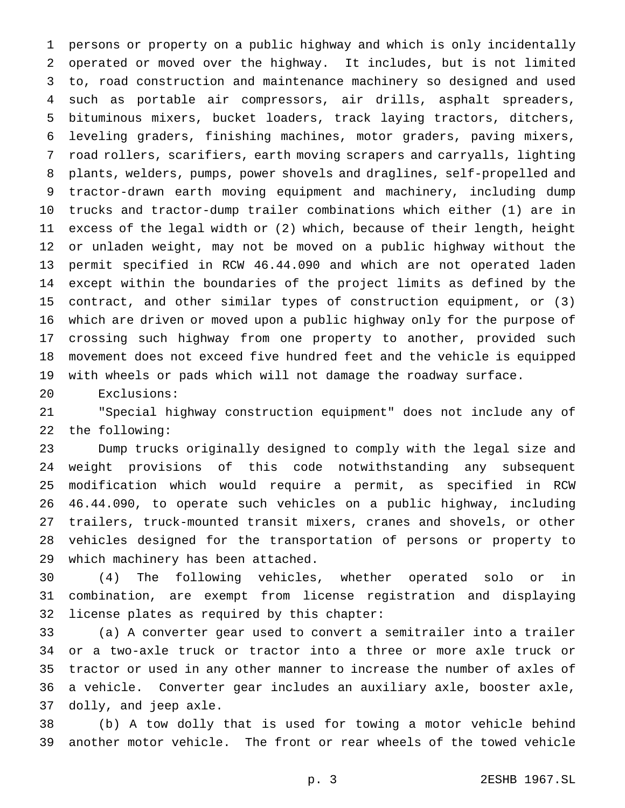persons or property on a public highway and which is only incidentally operated or moved over the highway. It includes, but is not limited to, road construction and maintenance machinery so designed and used such as portable air compressors, air drills, asphalt spreaders, bituminous mixers, bucket loaders, track laying tractors, ditchers, leveling graders, finishing machines, motor graders, paving mixers, road rollers, scarifiers, earth moving scrapers and carryalls, lighting plants, welders, pumps, power shovels and draglines, self-propelled and tractor-drawn earth moving equipment and machinery, including dump trucks and tractor-dump trailer combinations which either (1) are in excess of the legal width or (2) which, because of their length, height or unladen weight, may not be moved on a public highway without the permit specified in RCW 46.44.090 and which are not operated laden except within the boundaries of the project limits as defined by the contract, and other similar types of construction equipment, or (3) which are driven or moved upon a public highway only for the purpose of crossing such highway from one property to another, provided such movement does not exceed five hundred feet and the vehicle is equipped with wheels or pads which will not damage the roadway surface.

Exclusions:

 "Special highway construction equipment" does not include any of the following:

 Dump trucks originally designed to comply with the legal size and weight provisions of this code notwithstanding any subsequent modification which would require a permit, as specified in RCW 46.44.090, to operate such vehicles on a public highway, including trailers, truck-mounted transit mixers, cranes and shovels, or other vehicles designed for the transportation of persons or property to which machinery has been attached.

 (4) The following vehicles, whether operated solo or in combination, are exempt from license registration and displaying license plates as required by this chapter:

 (a) A converter gear used to convert a semitrailer into a trailer or a two-axle truck or tractor into a three or more axle truck or tractor or used in any other manner to increase the number of axles of a vehicle. Converter gear includes an auxiliary axle, booster axle, dolly, and jeep axle.

 (b) A tow dolly that is used for towing a motor vehicle behind another motor vehicle. The front or rear wheels of the towed vehicle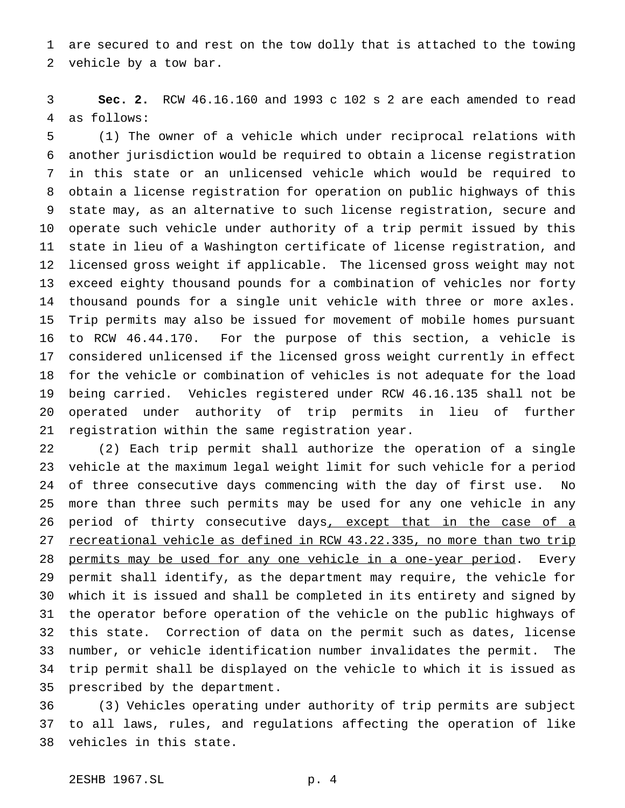are secured to and rest on the tow dolly that is attached to the towing vehicle by a tow bar.

 **Sec. 2.** RCW 46.16.160 and 1993 c 102 s 2 are each amended to read as follows:

 (1) The owner of a vehicle which under reciprocal relations with another jurisdiction would be required to obtain a license registration in this state or an unlicensed vehicle which would be required to obtain a license registration for operation on public highways of this state may, as an alternative to such license registration, secure and operate such vehicle under authority of a trip permit issued by this state in lieu of a Washington certificate of license registration, and licensed gross weight if applicable. The licensed gross weight may not exceed eighty thousand pounds for a combination of vehicles nor forty thousand pounds for a single unit vehicle with three or more axles. Trip permits may also be issued for movement of mobile homes pursuant to RCW 46.44.170. For the purpose of this section, a vehicle is considered unlicensed if the licensed gross weight currently in effect for the vehicle or combination of vehicles is not adequate for the load being carried. Vehicles registered under RCW 46.16.135 shall not be operated under authority of trip permits in lieu of further registration within the same registration year.

 (2) Each trip permit shall authorize the operation of a single vehicle at the maximum legal weight limit for such vehicle for a period of three consecutive days commencing with the day of first use. No more than three such permits may be used for any one vehicle in any 26 period of thirty consecutive days, except that in the case of a 27 recreational vehicle as defined in RCW 43.22.335, no more than two trip 28 permits may be used for any one vehicle in a one-year period. Every permit shall identify, as the department may require, the vehicle for which it is issued and shall be completed in its entirety and signed by the operator before operation of the vehicle on the public highways of this state. Correction of data on the permit such as dates, license number, or vehicle identification number invalidates the permit. The trip permit shall be displayed on the vehicle to which it is issued as prescribed by the department.

 (3) Vehicles operating under authority of trip permits are subject to all laws, rules, and regulations affecting the operation of like vehicles in this state.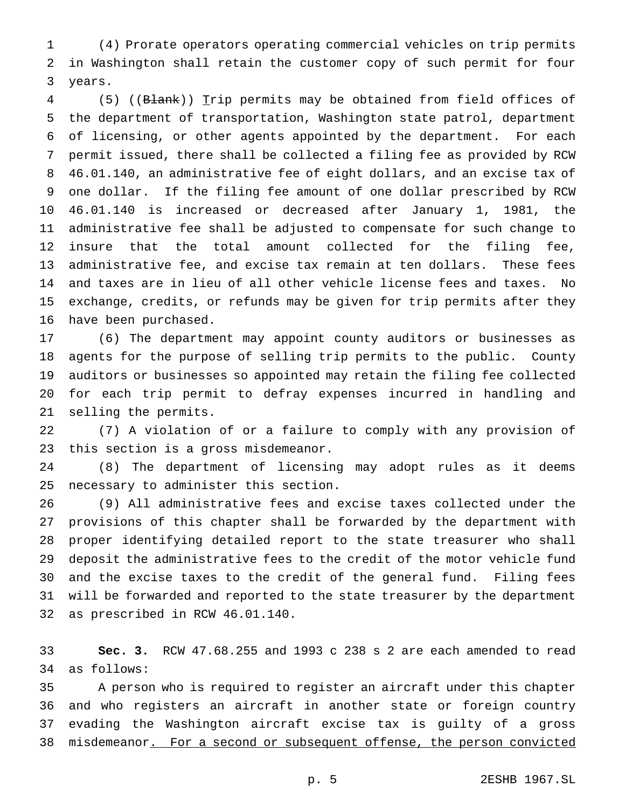(4) Prorate operators operating commercial vehicles on trip permits in Washington shall retain the customer copy of such permit for four years.

4 (5) ((Blank)) Trip permits may be obtained from field offices of the department of transportation, Washington state patrol, department of licensing, or other agents appointed by the department. For each permit issued, there shall be collected a filing fee as provided by RCW 46.01.140, an administrative fee of eight dollars, and an excise tax of one dollar. If the filing fee amount of one dollar prescribed by RCW 46.01.140 is increased or decreased after January 1, 1981, the administrative fee shall be adjusted to compensate for such change to insure that the total amount collected for the filing fee, administrative fee, and excise tax remain at ten dollars. These fees and taxes are in lieu of all other vehicle license fees and taxes. No exchange, credits, or refunds may be given for trip permits after they have been purchased.

 (6) The department may appoint county auditors or businesses as agents for the purpose of selling trip permits to the public. County auditors or businesses so appointed may retain the filing fee collected for each trip permit to defray expenses incurred in handling and selling the permits.

 (7) A violation of or a failure to comply with any provision of this section is a gross misdemeanor.

 (8) The department of licensing may adopt rules as it deems necessary to administer this section.

 (9) All administrative fees and excise taxes collected under the provisions of this chapter shall be forwarded by the department with proper identifying detailed report to the state treasurer who shall deposit the administrative fees to the credit of the motor vehicle fund and the excise taxes to the credit of the general fund. Filing fees will be forwarded and reported to the state treasurer by the department as prescribed in RCW 46.01.140.

 **Sec. 3.** RCW 47.68.255 and 1993 c 238 s 2 are each amended to read as follows:

 A person who is required to register an aircraft under this chapter and who registers an aircraft in another state or foreign country evading the Washington aircraft excise tax is guilty of a gross 38 misdemeanor. For a second or subsequent offense, the person convicted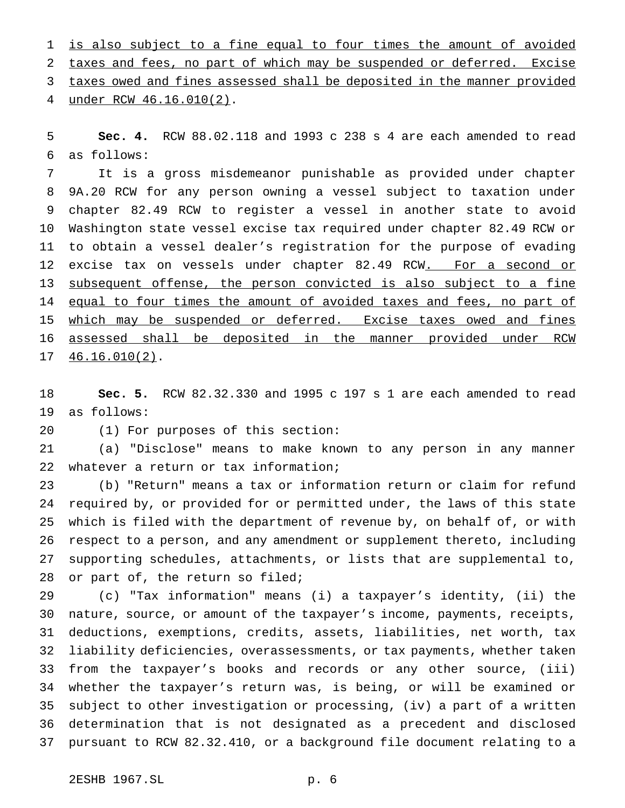is also subject to a fine equal to four times the amount of avoided taxes and fees, no part of which may be suspended or deferred. Excise taxes owed and fines assessed shall be deposited in the manner provided under RCW 46.16.010(2).

 **Sec. 4.** RCW 88.02.118 and 1993 c 238 s 4 are each amended to read as follows:

 It is a gross misdemeanor punishable as provided under chapter 9A.20 RCW for any person owning a vessel subject to taxation under chapter 82.49 RCW to register a vessel in another state to avoid Washington state vessel excise tax required under chapter 82.49 RCW or to obtain a vessel dealer's registration for the purpose of evading 12 excise tax on vessels under chapter 82.49 RCW. For a second or 13 subsequent offense, the person convicted is also subject to a fine 14 equal to four times the amount of avoided taxes and fees, no part of which may be suspended or deferred. Excise taxes owed and fines assessed shall be deposited in the manner provided under RCW 46.16.010(2).

 **Sec. 5.** RCW 82.32.330 and 1995 c 197 s 1 are each amended to read as follows:

(1) For purposes of this section:

 (a) "Disclose" means to make known to any person in any manner whatever a return or tax information;

 (b) "Return" means a tax or information return or claim for refund required by, or provided for or permitted under, the laws of this state which is filed with the department of revenue by, on behalf of, or with respect to a person, and any amendment or supplement thereto, including supporting schedules, attachments, or lists that are supplemental to, or part of, the return so filed;

 (c) "Tax information" means (i) a taxpayer's identity, (ii) the nature, source, or amount of the taxpayer's income, payments, receipts, deductions, exemptions, credits, assets, liabilities, net worth, tax liability deficiencies, overassessments, or tax payments, whether taken from the taxpayer's books and records or any other source, (iii) whether the taxpayer's return was, is being, or will be examined or subject to other investigation or processing, (iv) a part of a written determination that is not designated as a precedent and disclosed pursuant to RCW 82.32.410, or a background file document relating to a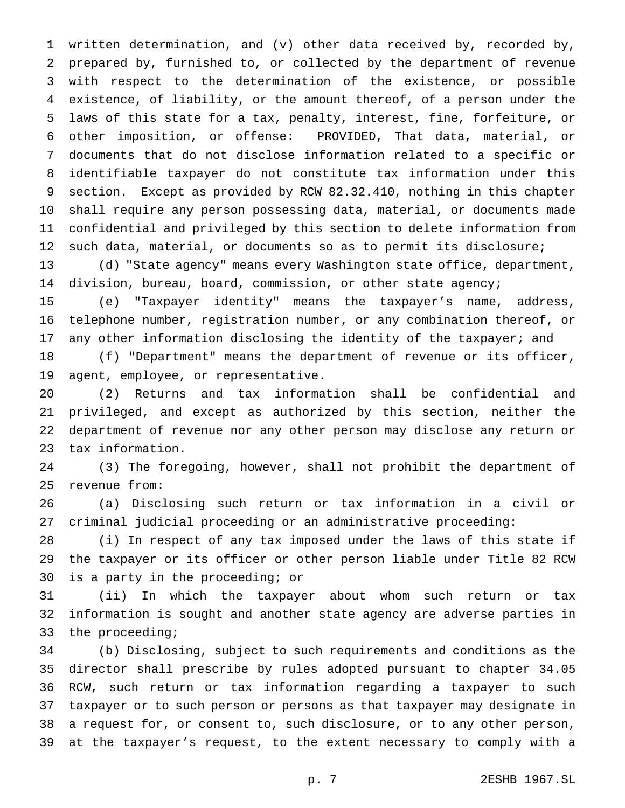written determination, and (v) other data received by, recorded by, prepared by, furnished to, or collected by the department of revenue with respect to the determination of the existence, or possible existence, of liability, or the amount thereof, of a person under the laws of this state for a tax, penalty, interest, fine, forfeiture, or other imposition, or offense: PROVIDED, That data, material, or documents that do not disclose information related to a specific or identifiable taxpayer do not constitute tax information under this section. Except as provided by RCW 82.32.410, nothing in this chapter shall require any person possessing data, material, or documents made confidential and privileged by this section to delete information from 12 such data, material, or documents so as to permit its disclosure; (d) "State agency" means every Washington state office, department,

14 division, bureau, board, commission, or other state agency;

 (e) "Taxpayer identity" means the taxpayer's name, address, telephone number, registration number, or any combination thereof, or 17 any other information disclosing the identity of the taxpayer; and

 (f) "Department" means the department of revenue or its officer, agent, employee, or representative.

 (2) Returns and tax information shall be confidential and privileged, and except as authorized by this section, neither the department of revenue nor any other person may disclose any return or tax information.

 (3) The foregoing, however, shall not prohibit the department of revenue from:

 (a) Disclosing such return or tax information in a civil or criminal judicial proceeding or an administrative proceeding:

 (i) In respect of any tax imposed under the laws of this state if the taxpayer or its officer or other person liable under Title 82 RCW is a party in the proceeding; or

 (ii) In which the taxpayer about whom such return or tax information is sought and another state agency are adverse parties in the proceeding;

 (b) Disclosing, subject to such requirements and conditions as the director shall prescribe by rules adopted pursuant to chapter 34.05 RCW, such return or tax information regarding a taxpayer to such taxpayer or to such person or persons as that taxpayer may designate in a request for, or consent to, such disclosure, or to any other person, at the taxpayer's request, to the extent necessary to comply with a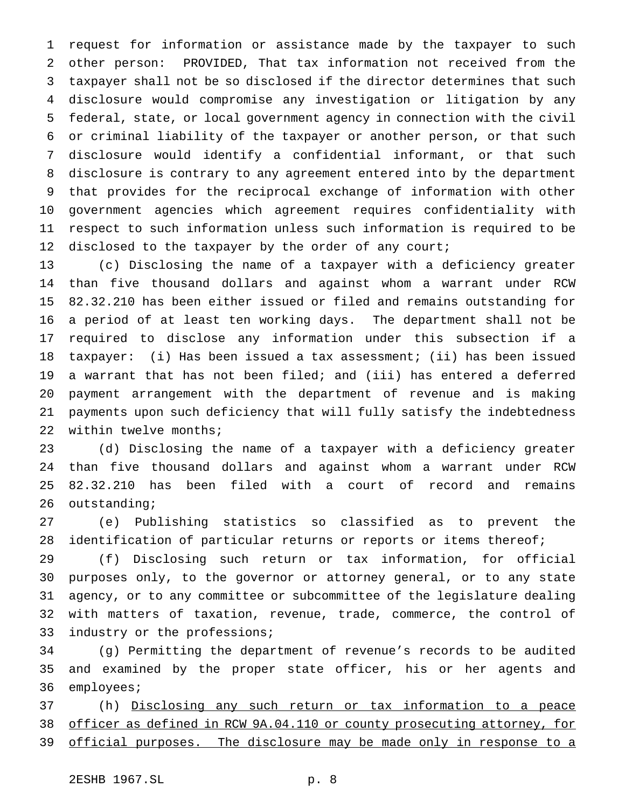request for information or assistance made by the taxpayer to such other person: PROVIDED, That tax information not received from the taxpayer shall not be so disclosed if the director determines that such disclosure would compromise any investigation or litigation by any federal, state, or local government agency in connection with the civil or criminal liability of the taxpayer or another person, or that such disclosure would identify a confidential informant, or that such disclosure is contrary to any agreement entered into by the department that provides for the reciprocal exchange of information with other government agencies which agreement requires confidentiality with respect to such information unless such information is required to be 12 disclosed to the taxpayer by the order of any court;

 (c) Disclosing the name of a taxpayer with a deficiency greater than five thousand dollars and against whom a warrant under RCW 82.32.210 has been either issued or filed and remains outstanding for a period of at least ten working days. The department shall not be required to disclose any information under this subsection if a taxpayer: (i) Has been issued a tax assessment; (ii) has been issued a warrant that has not been filed; and (iii) has entered a deferred payment arrangement with the department of revenue and is making payments upon such deficiency that will fully satisfy the indebtedness within twelve months;

 (d) Disclosing the name of a taxpayer with a deficiency greater than five thousand dollars and against whom a warrant under RCW 82.32.210 has been filed with a court of record and remains outstanding;

 (e) Publishing statistics so classified as to prevent the identification of particular returns or reports or items thereof;

 (f) Disclosing such return or tax information, for official purposes only, to the governor or attorney general, or to any state agency, or to any committee or subcommittee of the legislature dealing with matters of taxation, revenue, trade, commerce, the control of industry or the professions;

 (g) Permitting the department of revenue's records to be audited and examined by the proper state officer, his or her agents and employees;

 (h) Disclosing any such return or tax information to a peace officer as defined in RCW 9A.04.110 or county prosecuting attorney, for 39 official purposes. The disclosure may be made only in response to a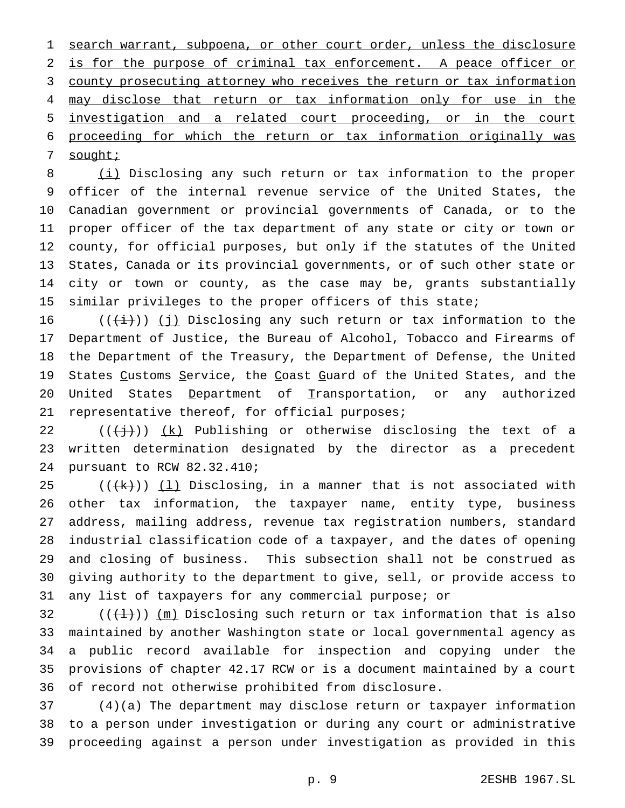search warrant, subpoena, or other court order, unless the disclosure 2 is for the purpose of criminal tax enforcement. A peace officer or county prosecuting attorney who receives the return or tax information may disclose that return or tax information only for use in the investigation and a related court proceeding, or in the court proceeding for which the return or tax information originally was 7 sought;

 (i) Disclosing any such return or tax information to the proper officer of the internal revenue service of the United States, the Canadian government or provincial governments of Canada, or to the proper officer of the tax department of any state or city or town or county, for official purposes, but only if the statutes of the United States, Canada or its provincial governments, or of such other state or city or town or county, as the case may be, grants substantially similar privileges to the proper officers of this state;

16 ( $(\frac{1}{i})$ ) (j) Disclosing any such return or tax information to the Department of Justice, the Bureau of Alcohol, Tobacco and Firearms of the Department of the Treasury, the Department of Defense, the United 19 States Customs Service, the Coast Guard of the United States, and the United States Department of Transportation, or any authorized 21 representative thereof, for official purposes;

22  $((+\frac{1}{2}))$   $(k)$  Publishing or otherwise disclosing the text of a written determination designated by the director as a precedent pursuant to RCW 82.32.410;

 $((+k))$   $(1)$  Disclosing, in a manner that is not associated with other tax information, the taxpayer name, entity type, business address, mailing address, revenue tax registration numbers, standard industrial classification code of a taxpayer, and the dates of opening and closing of business. This subsection shall not be construed as giving authority to the department to give, sell, or provide access to any list of taxpayers for any commercial purpose; or

 $((+1))$   $(m)$  Disclosing such return or tax information that is also maintained by another Washington state or local governmental agency as a public record available for inspection and copying under the provisions of chapter 42.17 RCW or is a document maintained by a court of record not otherwise prohibited from disclosure.

 (4)(a) The department may disclose return or taxpayer information to a person under investigation or during any court or administrative proceeding against a person under investigation as provided in this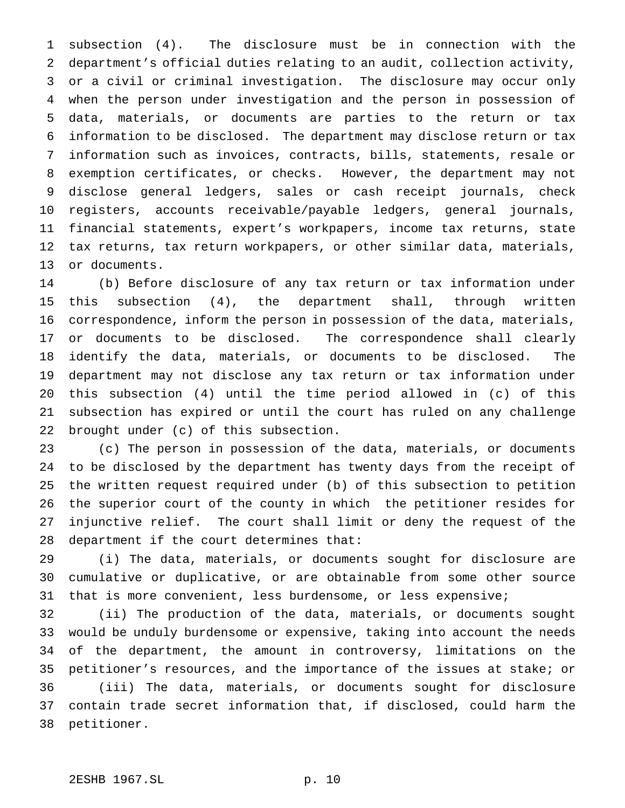subsection (4). The disclosure must be in connection with the department's official duties relating to an audit, collection activity, or a civil or criminal investigation. The disclosure may occur only when the person under investigation and the person in possession of data, materials, or documents are parties to the return or tax information to be disclosed. The department may disclose return or tax information such as invoices, contracts, bills, statements, resale or exemption certificates, or checks. However, the department may not disclose general ledgers, sales or cash receipt journals, check registers, accounts receivable/payable ledgers, general journals, financial statements, expert's workpapers, income tax returns, state tax returns, tax return workpapers, or other similar data, materials, or documents.

 (b) Before disclosure of any tax return or tax information under this subsection (4), the department shall, through written correspondence, inform the person in possession of the data, materials, or documents to be disclosed. The correspondence shall clearly identify the data, materials, or documents to be disclosed. The department may not disclose any tax return or tax information under this subsection (4) until the time period allowed in (c) of this subsection has expired or until the court has ruled on any challenge brought under (c) of this subsection.

 (c) The person in possession of the data, materials, or documents to be disclosed by the department has twenty days from the receipt of the written request required under (b) of this subsection to petition the superior court of the county in which the petitioner resides for injunctive relief. The court shall limit or deny the request of the department if the court determines that:

 (i) The data, materials, or documents sought for disclosure are cumulative or duplicative, or are obtainable from some other source that is more convenient, less burdensome, or less expensive;

 (ii) The production of the data, materials, or documents sought would be unduly burdensome or expensive, taking into account the needs of the department, the amount in controversy, limitations on the petitioner's resources, and the importance of the issues at stake; or (iii) The data, materials, or documents sought for disclosure contain trade secret information that, if disclosed, could harm the petitioner.